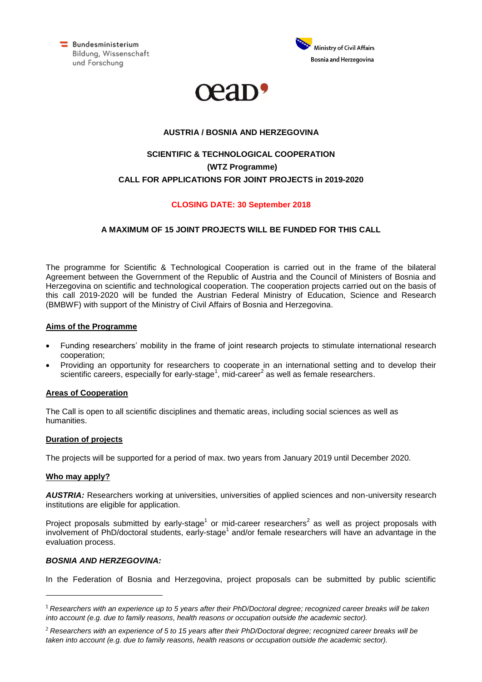Bundesministerium Bildung, Wissenschaft und Forschung





## **AUSTRIA / BOSNIA AND HERZEGOVINA**

# **SCIENTIFIC & TECHNOLOGICAL COOPERATION (WTZ Programme) CALL FOR APPLICATIONS FOR JOINT PROJECTS in 2019-2020**

## **CLOSING DATE: 30 September 2018**

## **A MAXIMUM OF 15 JOINT PROJECTS WILL BE FUNDED FOR THIS CALL**

The programme for Scientific & Technological Cooperation is carried out in the frame of the bilateral Agreement between the Government of the Republic of Austria and the Council of Ministers of Bosnia and Herzegovina on scientific and technological cooperation. The cooperation projects carried out on the basis of this call 2019-2020 will be funded the Austrian Federal Ministry of Education, Science and Research (BMBWF) with support of the Ministry of Civil Affairs of Bosnia and Herzegovina.

## **Aims of the Programme**

- Funding researchers' mobility in the frame of joint research projects to stimulate international research cooperation;
- Providing an opportunity for researchers to cooperate in an international setting and to develop their scientific careers, especially for early-stage<sup>1</sup>, mid-career<sup>2</sup> as well as female researchers.

#### **Areas of Cooperation**

The Call is open to all scientific disciplines and thematic areas, including social sciences as well as humanities.

#### **Duration of projects**

The projects will be supported for a period of max. two years from January 2019 until December 2020.

#### **Who may apply?**

*AUSTRIA:* Researchers working at universities, universities of applied sciences and non-university research institutions are eligible for application.

Project proposals submitted by early-stage<sup>1</sup> or mid-career researchers<sup>2</sup> as well as project proposals with involvement of PhD/doctoral students, early-stage<sup>1</sup> and/or female researchers will have an advantage in the evaluation process.

#### *BOSNIA AND HERZEGOVINA:*

In the Federation of Bosnia and Herzegovina, project proposals can be submitted by public scientific

*Researchers with an experience up to 5 years after their PhD/Doctoral degree; recognized career breaks will be taken into account (e.g. due to family reasons, health reasons or occupation outside the academic sector).*

*Researchers with an experience of 5 to 15 years after their PhD/Doctoral degree; recognized career breaks will be taken into account (e.g. due to family reasons, health reasons or occupation outside the academic sector).*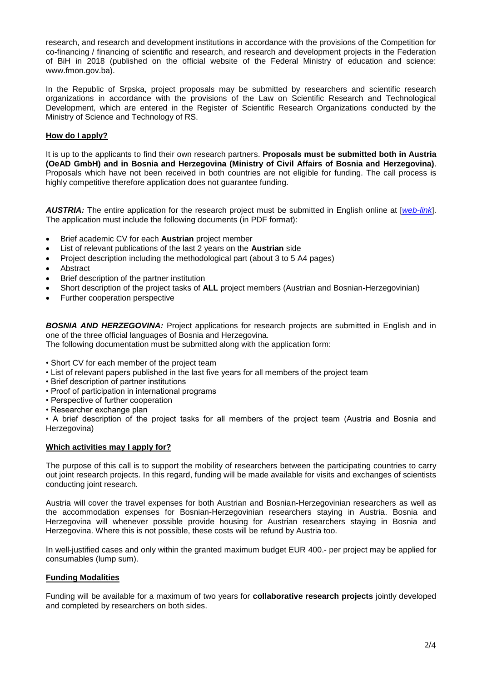research, and research and development institutions in accordance with the provisions of the Competition for co-financing / financing of scientific and research, and research and development projects in the Federation of BiH in 2018 (published on the official website of the Federal Ministry of education and science: www.fmon.gov.ba).

In the Republic of Srpska, project proposals may be submitted by researchers and scientific research organizations in accordance with the provisions of the Law on Scientific Research and Technological Development, which are entered in the Register of Scientific Research Organizations conducted by the Ministry of Science and Technology of RS.

## **How do I apply?**

It is up to the applicants to find their own research partners. **Proposals must be submitted both in Austria (OeAD GmbH) and in Bosnia and Herzegovina (Ministry of Civil Affairs of Bosnia and Herzegovina)**. Proposals which have not been received in both countries are not eligible for funding. The call process is highly competitive therefore application does not guarantee funding.

*AUSTRIA:* The entire application for the research project must be submitted in English online at [*[web-link](https://asp.sop.co.at/oead/antrag?call=BIH%202019_20)*]. The application must include the following documents (in PDF format):

- Brief academic CV for each **Austrian** project member
- List of relevant publications of the last 2 years on the **Austrian** side
- Project description including the methodological part (about 3 to 5 A4 pages)
- Abstract
- Brief description of the partner institution
- Short description of the project tasks of **ALL** project members (Austrian and Bosnian-Herzegovinian)
- Further cooperation perspective

*BOSNIA AND HERZEGOVINA:* Project applications for research projects are submitted in English and in one of the three official languages of Bosnia and Herzegovina.

The following documentation must be submitted along with the application form:

- Short CV for each member of the project team
- List of relevant papers published in the last five years for all members of the project team
- Brief description of partner institutions
- Proof of participation in international programs
- Perspective of further cooperation
- Researcher exchange plan

• A brief description of the project tasks for all members of the project team (Austria and Bosnia and Herzegovina)

#### **Which activities may I apply for?**

The purpose of this call is to support the mobility of researchers between the participating countries to carry out joint research projects. In this regard, funding will be made available for visits and exchanges of scientists conducting joint research.

Austria will cover the travel expenses for both Austrian and Bosnian-Herzegovinian researchers as well as the accommodation expenses for Bosnian-Herzegovinian researchers staying in Austria. Bosnia and Herzegovina will whenever possible provide housing for Austrian researchers staying in Bosnia and Herzegovina. Where this is not possible, these costs will be refund by Austria too.

In well-justified cases and only within the granted maximum budget EUR 400.- per project may be applied for consumables (lump sum).

#### **Funding Modalities**

Funding will be available for a maximum of two years for **collaborative research projects** jointly developed and completed by researchers on both sides.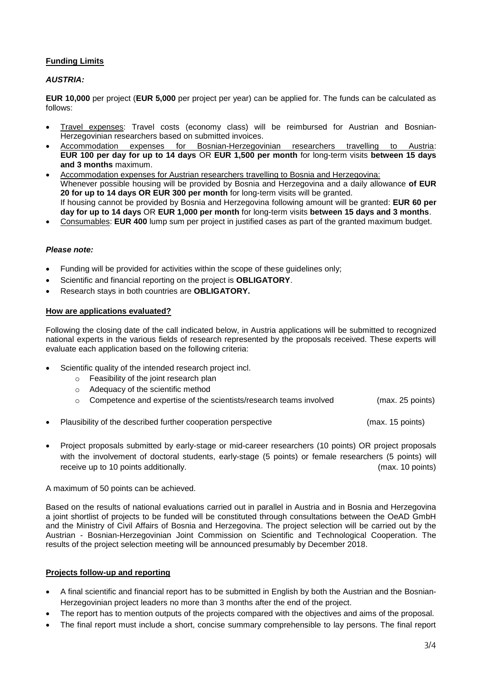# **Funding Limits**

## *AUSTRIA:*

**EUR 10,000** per project (**EUR 5,000** per project per year) can be applied for. The funds can be calculated as follows:

- Travel expenses: Travel costs (economy class) will be reimbursed for Austrian and Bosnian-Herzegovinian researchers based on submitted invoices.
- Accommodation expenses for Bosnian-Herzegovinian researchers travelling to Austria: **EUR 100 per day for up to 14 days** OR **EUR 1,500 per month** for long-term visits **between 15 days and 3 months** maximum.
- Accommodation expenses for Austrian researchers travelling to Bosnia and Herzegovina: Whenever possible housing will be provided by Bosnia and Herzegovina and a daily allowance **of EUR 20 for up to 14 days OR EUR 300 per month** for long-term visits will be granted. If housing cannot be provided by Bosnia and Herzegovina following amount will be granted: **EUR 60 per day for up to 14 days** OR **EUR 1,000 per month** for long-term visits **between 15 days and 3 months**.
- Consumables: **EUR 400** lump sum per project in justified cases as part of the granted maximum budget.

#### *Please note:*

- Funding will be provided for activities within the scope of these guidelines only;
- Scientific and financial reporting on the project is **OBLIGATORY**.
- Research stays in both countries are **OBLIGATORY.**

#### **How are applications evaluated?**

Following the closing date of the call indicated below, in Austria applications will be submitted to recognized national experts in the various fields of research represented by the proposals received. These experts will evaluate each application based on the following criteria:

- Scientific quality of the intended research project incl.
	- o Feasibility of the joint research plan
	- o Adequacy of the scientific method
	- $\circ$  Competence and expertise of the scientists/research teams involved  $($ max. 25 points)
- Plausibility of the described further cooperation perspective (max. 15 points)
- Project proposals submitted by early-stage or mid-career researchers (10 points) OR project proposals with the involvement of doctoral students, early-stage (5 points) or female researchers (5 points) will receive up to 10 points additionally. (max. 10 points)

#### A maximum of 50 points can be achieved.

Based on the results of national evaluations carried out in parallel in Austria and in Bosnia and Herzegovina a joint shortlist of projects to be funded will be constituted through consultations between the OeAD GmbH and the Ministry of Civil Affairs of Bosnia and Herzegovina. The project selection will be carried out by the Austrian - Bosnian-Herzegovinian Joint Commission on Scientific and Technological Cooperation. The results of the project selection meeting will be announced presumably by December 2018.

#### **Projects follow-up and reporting**

- A final scientific and financial report has to be submitted in English by both the Austrian and the Bosnian-Herzegovinian project leaders no more than 3 months after the end of the project.
- The report has to mention outputs of the projects compared with the objectives and aims of the proposal.
- The final report must include a short, concise summary comprehensible to lay persons. The final report